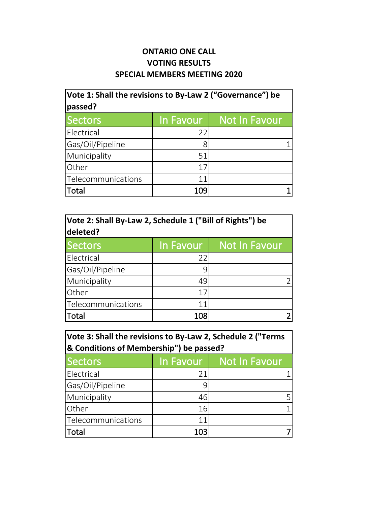## **ONTARIO ONE CALL VOTING RESULTS SPECIAL MEMBERS MEETING 2020**

| Vote 1: Shall the revisions to By-Law 2 ("Governance") be<br>passed? |           |               |
|----------------------------------------------------------------------|-----------|---------------|
| <b>Sectors</b>                                                       | In Favour | Not In Favour |
| Electrical                                                           | 22        |               |
| Gas/Oil/Pipeline                                                     | 8         |               |
| Municipality                                                         | 51        |               |
| Other                                                                | 17        |               |
| Telecommunications                                                   | 11        |               |
| Total                                                                | 109       |               |

| Vote 2: Shall By-Law 2, Schedule 1 ("Bill of Rights") be<br>deleted? |           |                      |
|----------------------------------------------------------------------|-----------|----------------------|
| <b>Sectors</b>                                                       | In Favour | <b>Not In Favour</b> |
| Electrical                                                           | 22        |                      |
| Gas/Oil/Pipeline                                                     | 9         |                      |
| Municipality                                                         | 49        |                      |
| Other                                                                | 17        |                      |
| Telecommunications                                                   | 11        |                      |
| Total                                                                | 108       |                      |

| Vote 3: Shall the revisions to By-Law 2, Schedule 2 ("Terms |
|-------------------------------------------------------------|
| & Conditions of Membership") be passed?                     |

| Sectors            | In Favour | Not In Favour |
|--------------------|-----------|---------------|
| Electrical         | 21        |               |
| Gas/Oil/Pipeline   | q         |               |
| Municipality       | 46        |               |
| <b>Other</b>       | 16        |               |
| Telecommunications | 11        |               |
| <b>Total</b>       | 103       |               |